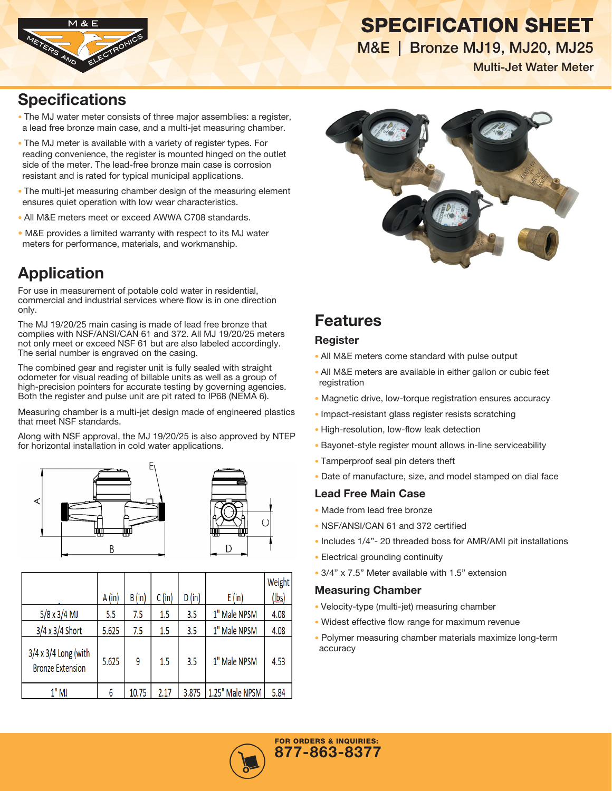



M&E | Bronze MJ19, MJ20, MJ25

Multi-Jet Water Meter

### **Specifications**

- The MJ water meter consists of three major assemblies: a register, a lead free bronze main case, and a multi-jet measuring chamber.
- The MJ meter is available with a variety of register types. For reading convenience, the register is mounted hinged on the outlet side of the meter. The lead-free bronze main case is corrosion resistant and is rated for typical municipal applications.
- The multi-jet measuring chamber design of the measuring element ensures quiet operation with low wear characteristics.
- All M&E meters meet or exceed AWWA C708 standards.
- M&E provides a limited warranty with respect to its MJ water meters for performance, materials, and workmanship.

# Application

For use in measurement of potable cold water in residential, commercial and industrial services where flow is in one direction only.

The MJ 19/20/25 main casing is made of lead free bronze that complies with NSF/ANSI/CAN 61 and 372. All MJ 19/20/25 meters not only meet or exceed NSF 61 but are also labeled accordingly. The serial number is engraved on the casing.

The combined gear and register unit is fully sealed with straight odometer for visual reading of billable units as well as a group of high-precision pointers for accurate testing by governing agencies. Both the register and pulse unit are pit rated to IP68 (NEMA 6).

Measuring chamber is a multi-jet design made of engineered plastics that meet NSF standards.

Along with NSF approval, the MJ 19/20/25 is also approved by NTEP for horizontal installation in cold water applications.





|                                                        | A(in) | B (in) | $C$ (in) | D (in) | E (in)          | Weight<br>(lbs) |
|--------------------------------------------------------|-------|--------|----------|--------|-----------------|-----------------|
| $5/8 \times 3/4$ MJ                                    | 5.5   | 7.5    | $1.5\,$  | 3.5    | 1" Male NPSM    | 4.08            |
| $3/4 \times 3/4$ Short                                 | 5.625 | 7.5    | 1.5      | 3.5    | 1" Male NPSM    | 4.08            |
| $3/4 \times 3/4$ Long (with<br><b>Bronze Extension</b> | 5.625 | 9      | $1.5\,$  | 3.5    | 1" Male NPSM    | 4.53            |
| $1"$ MJ                                                | 6     | 10.75  | 2.17     | 3.875  | 1.25" Male NPSM | 5.84            |



## Features

#### Register

- All M&E meters come standard with pulse output
- All M&E meters are available in either gallon or cubic feet registration
- Magnetic drive, low-torque registration ensures accuracy
- Impact-resistant glass register resists scratching
- High-resolution, low-flow leak detection
- Bayonet-style register mount allows in-line serviceability
- Tamperproof seal pin deters theft
- Date of manufacture, size, and model stamped on dial face

#### Lead Free Main Case

- Made from lead free bronze
- NSF/ANSI/CAN 61 and 372 certified
- Includes 1/4"- 20 threaded boss for AMR/AMI pit installations
- Electrical grounding continuity
- 3/4" x 7.5" Meter available with 1.5" extension

#### Measuring Chamber

- Velocity-type (multi-jet) measuring chamber
- Widest effective flow range for maximum revenue
- Polymer measuring chamber materials maximize long-term accuracy